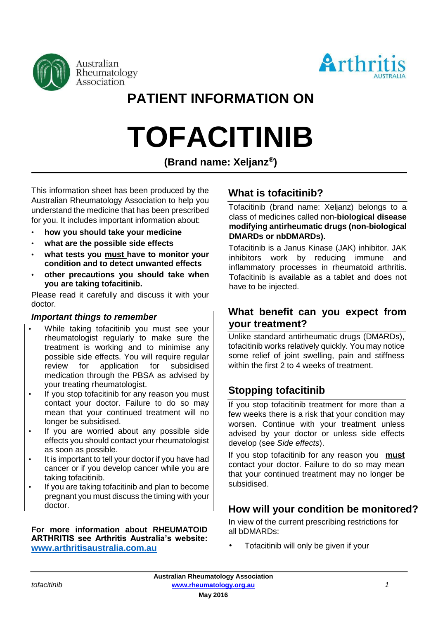



# **PATIENT INFORMATION ON**

# **TOFACITINIB**

**(Brand name: Xeljanz® )** 

This information sheet has been produced by the Australian Rheumatology Association to help you understand the medicine that has been prescribed for you. It includes important information about:

- **how you should take your medicine**
- **what are the possible side effects**
- **what tests you must have to monitor your condition and to detect unwanted effects**
- **other precautions you should take when you are taking tofacitinib.**

Please read it carefully and discuss it with your doctor.

#### *Important things to remember*

- While taking tofacitinib you must see your rheumatologist regularly to make sure the treatment is working and to minimise any possible side effects. You will require regular<br>review for application for subsidised review for application medication through the PBSA as advised by your treating rheumatologist.
- If you stop tofacitinib for any reason you must contact your doctor. Failure to do so may mean that your continued treatment will no longer be subsidised.
- If you are worried about any possible side effects you should contact your rheumatologist as soon as possible.
- It is important to tell your doctor if you have had cancer or if you develop cancer while you are taking tofacitinib.
- If you are taking tofacitinib and plan to become pregnant you must discuss the timing with your doctor.

#### **For more information about RHEUMATOID ARTHRITIS see Arthritis Australia's website: [www.arthritisaustralia.com.au](http://www.arthritisaustralia.com.au/)**

# **What is tofacitinib?**

Tofacitinib (brand name: Xeljanz) belongs to a class of medicines called non-**biological disease modifying antirheumatic drugs (non-biological DMARDs or nbDMARDs).**

Tofacitinib is a Janus Kinase (JAK) inhibitor. JAK inhibitors work by reducing immune and inflammatory processes in rheumatoid arthritis. Tofacitinib is available as a tablet and does not have to be injected.

## **What benefit can you expect from your treatment?**

Unlike standard antirheumatic drugs (DMARDs), tofacitinib works relatively quickly. You may notice some relief of joint swelling, pain and stiffness within the first 2 to 4 weeks of treatment.

# **Stopping tofacitinib**

If you stop tofacitinib treatment for more than a few weeks there is a risk that your condition may worsen. Continue with your treatment unless advised by your doctor or unless side effects develop (see *Side effects*).

If you stop tofacitinib for any reason you **must** contact your doctor. Failure to do so may mean that your continued treatment may no longer be subsidised.

# **How will your condition be monitored?**

In view of the current prescribing restrictions for all bDMARDs:

• Tofacitinib will only be given if your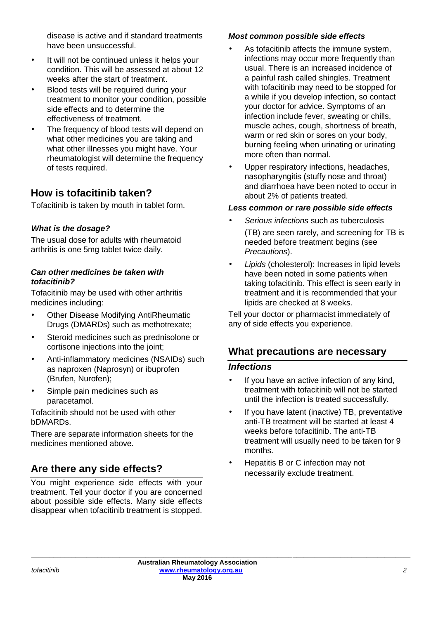disease is active and if standard treatments have been unsuccessful.

- It will not be continued unless it helps your condition. This will be assessed at about 12 weeks after the start of treatment.
- Blood tests will be required during your treatment to monitor your condition, possible side effects and to determine the effectiveness of treatment.
- The frequency of blood tests will depend on what other medicines you are taking and what other illnesses you might have. Your rheumatologist will determine the frequency of tests required.

# **How is tofacitinib taken?**

Tofacitinib is taken by mouth in tablet form.

#### *What is the dosage?*

The usual dose for adults with rheumatoid arthritis is one 5mg tablet twice daily.

#### *Can other medicines be taken with tofacitinib?*

Tofacitinib may be used with other arthritis medicines including:

- Other Disease Modifying AntiRheumatic Drugs (DMARDs) such as methotrexate;
- Steroid medicines such as prednisolone or cortisone injections into the joint;
- Anti-inflammatory medicines (NSAIDs) such as naproxen (Naprosyn) or ibuprofen (Brufen, Nurofen);
- Simple pain medicines such as paracetamol.

Tofacitinib should not be used with other bDMARDs.

There are separate information sheets for the medicines mentioned above.

# **Are there any side effects?**

You might experience side effects with your treatment. Tell your doctor if you are concerned about possible side effects. Many side effects disappear when tofacitinib treatment is stopped.

#### *Most common possible side effects*

- As tofacitinib affects the immune system, infections may occur more frequently than usual. There is an increased incidence of a painful rash called shingles. Treatment with tofacitinib may need to be stopped for a while if you develop infection, so contact your doctor for advice. Symptoms of an infection include fever, sweating or chills, muscle aches, cough, shortness of breath, warm or red skin or sores on your body, burning feeling when urinating or urinating more often than normal.
- Upper respiratory infections, headaches, nasopharyngitis (stuffy nose and throat) and diarrhoea have been noted to occur in about 2% of patients treated.

#### *Less common or rare possible side effects*

- *Serious infections* such as tuberculosis (TB) are seen rarely, and screening for TB is needed before treatment begins (see *Precautions*).
- *Lipids* (cholesterol): Increases in lipid levels have been noted in some patients when taking tofacitinib. This effect is seen early in treatment and it is recommended that your lipids are checked at 8 weeks.

Tell your doctor or pharmacist immediately of any of side effects you experience.

# **What precautions are necessary**

#### *Infections*

- If you have an active infection of any kind, treatment with tofacitinib will not be started until the infection is treated successfully.
- If you have latent (inactive) TB, preventative anti-TB treatment will be started at least 4 weeks before tofacitinib. The anti-TB treatment will usually need to be taken for 9 months.
- Hepatitis B or C infection may not necessarily exclude treatment.

**\_\_\_\_\_\_\_\_\_\_\_\_\_\_\_\_\_\_\_\_\_\_\_\_\_\_\_\_\_\_\_\_\_\_\_\_\_\_\_\_\_\_\_\_\_\_\_\_\_\_\_\_\_\_\_\_\_\_\_\_\_\_\_\_\_\_\_\_\_\_\_\_\_\_\_\_\_\_\_\_\_\_\_\_\_\_\_\_\_\_\_\_\_\_\_\_\_\_\_\_\_\_\_**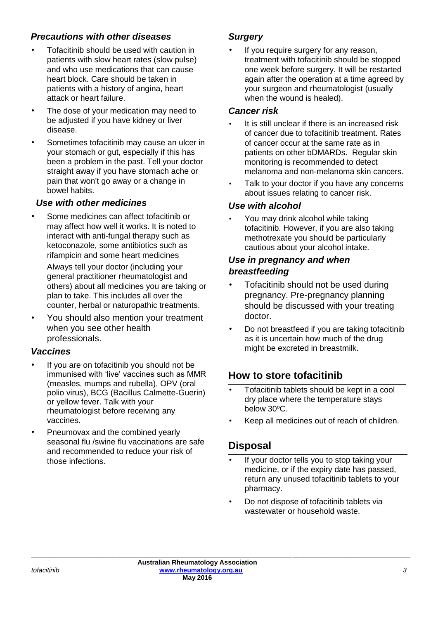#### *Precautions with other diseases*

- Tofacitinib should be used with caution in patients with slow heart rates (slow pulse) and who use medications that can cause heart block. Care should be taken in patients with a history of angina, heart attack or heart failure.
- The dose of your medication may need to be adjusted if you have kidney or liver disease.
- Sometimes tofacitinib may cause an ulcer in your stomach or gut, especially if this has been a problem in the past. Tell your doctor straight away if you have stomach ache or pain that won't go away or a change in bowel habits.

#### *Use with other medicines*

• Some medicines can affect tofacitinib or may affect how well it works. It is noted to interact with anti-fungal therapy such as ketoconazole, some antibiotics such as rifampicin and some heart medicines

Always tell your doctor (including your general practitioner rheumatologist and others) about all medicines you are taking or plan to take. This includes all over the counter, herbal or naturopathic treatments.

• You should also mention your treatment when you see other health professionals.

### *Vaccines*

- If you are on tofacitinib you should not be immunised with 'live' vaccines such as MMR (measles, mumps and rubella), OPV (oral polio virus), BCG (Bacillus Calmette-Guerin) or yellow fever. Talk with your rheumatologist before receiving any vaccines.
- Pneumovax and the combined yearly seasonal flu /swine flu vaccinations are safe and recommended to reduce your risk of those infections.

#### *Surgery*

If you require surgery for any reason, treatment with tofacitinib should be stopped one week before surgery. It will be restarted again after the operation at a time agreed by your surgeon and rheumatologist (usually when the wound is healed).

#### *Cancer risk*

- It is still unclear if there is an increased risk of cancer due to tofacitinib treatment. Rates of cancer occur at the same rate as in patients on other bDMARDs. Regular skin monitoring is recommended to detect melanoma and non-melanoma skin cancers.
- Talk to your doctor if you have any concerns about issues relating to cancer risk.

#### *Use with alcohol*

You may drink alcohol while taking tofacitinib. However, if you are also taking methotrexate you should be particularly cautious about your alcohol intake.

#### *Use in pregnancy and when breastfeeding*

- Tofacitinib should not be used during pregnancy. Pre-pregnancy planning should be discussed with your treating doctor.
- Do not breastfeed if you are taking tofacitinib as it is uncertain how much of the drug might be excreted in breastmilk.

# **How to store tofacitinib**

- Tofacitinib tablets should be kept in a cool dry place where the temperature stays below 30°C.
- Keep all medicines out of reach of children.

# **Disposal**

- If your doctor tells you to stop taking your medicine, or if the expiry date has passed, return any unused tofacitinib tablets to your pharmacy.
- Do not dispose of tofacitinib tablets via wastewater or household waste.